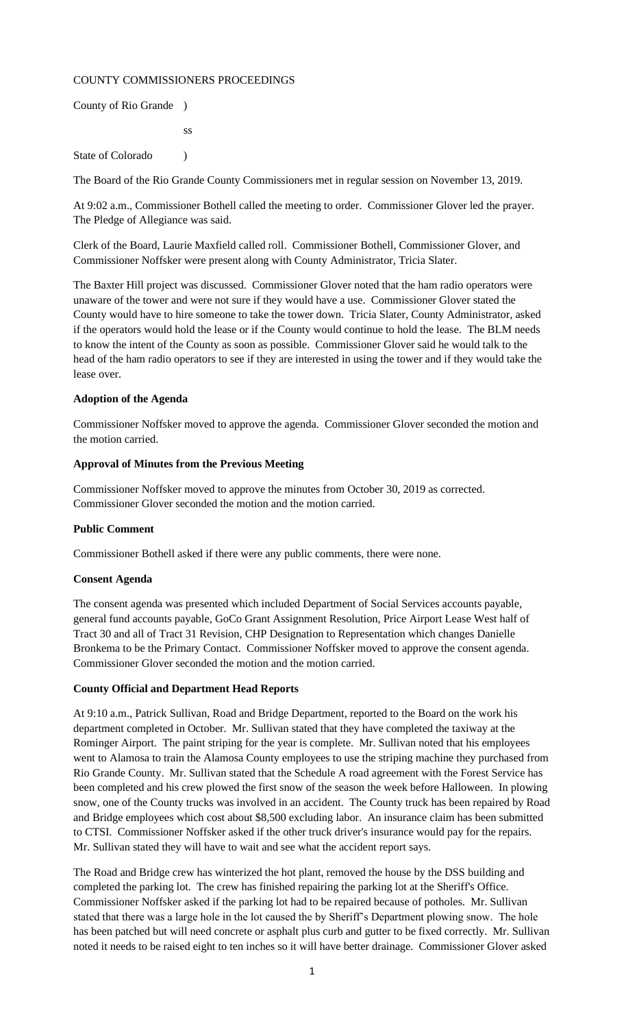# COUNTY COMMISSIONERS PROCEEDINGS

County of Rio Grande )

ss

State of Colorado (a)

The Board of the Rio Grande County Commissioners met in regular session on November 13, 2019.

At 9:02 a.m., Commissioner Bothell called the meeting to order. Commissioner Glover led the prayer. The Pledge of Allegiance was said.

Clerk of the Board, Laurie Maxfield called roll. Commissioner Bothell, Commissioner Glover, and Commissioner Noffsker were present along with County Administrator, Tricia Slater.

The Baxter Hill project was discussed. Commissioner Glover noted that the ham radio operators were unaware of the tower and were not sure if they would have a use. Commissioner Glover stated the County would have to hire someone to take the tower down. Tricia Slater, County Administrator, asked if the operators would hold the lease or if the County would continue to hold the lease. The BLM needs to know the intent of the County as soon as possible. Commissioner Glover said he would talk to the head of the ham radio operators to see if they are interested in using the tower and if they would take the lease over.

# **Adoption of the Agenda**

Commissioner Noffsker moved to approve the agenda. Commissioner Glover seconded the motion and the motion carried.

# **Approval of Minutes from the Previous Meeting**

Commissioner Noffsker moved to approve the minutes from October 30, 2019 as corrected. Commissioner Glover seconded the motion and the motion carried.

### **Public Comment**

Commissioner Bothell asked if there were any public comments, there were none.

### **Consent Agenda**

The consent agenda was presented which included Department of Social Services accounts payable, general fund accounts payable, GoCo Grant Assignment Resolution, Price Airport Lease West half of Tract 30 and all of Tract 31 Revision, CHP Designation to Representation which changes Danielle Bronkema to be the Primary Contact. Commissioner Noffsker moved to approve the consent agenda. Commissioner Glover seconded the motion and the motion carried.

### **County Official and Department Head Reports**

At 9:10 a.m., Patrick Sullivan, Road and Bridge Department, reported to the Board on the work his department completed in October. Mr. Sullivan stated that they have completed the taxiway at the Rominger Airport. The paint striping for the year is complete. Mr. Sullivan noted that his employees went to Alamosa to train the Alamosa County employees to use the striping machine they purchased from Rio Grande County. Mr. Sullivan stated that the Schedule A road agreement with the Forest Service has been completed and his crew plowed the first snow of the season the week before Halloween. In plowing snow, one of the County trucks was involved in an accident. The County truck has been repaired by Road and Bridge employees which cost about \$8,500 excluding labor. An insurance claim has been submitted to CTSI. Commissioner Noffsker asked if the other truck driver's insurance would pay for the repairs. Mr. Sullivan stated they will have to wait and see what the accident report says.

The Road and Bridge crew has winterized the hot plant, removed the house by the DSS building and completed the parking lot. The crew has finished repairing the parking lot at the Sheriff's Office. Commissioner Noffsker asked if the parking lot had to be repaired because of potholes. Mr. Sullivan stated that there was a large hole in the lot caused the by Sheriff's Department plowing snow. The hole has been patched but will need concrete or asphalt plus curb and gutter to be fixed correctly. Mr. Sullivan noted it needs to be raised eight to ten inches so it will have better drainage. Commissioner Glover asked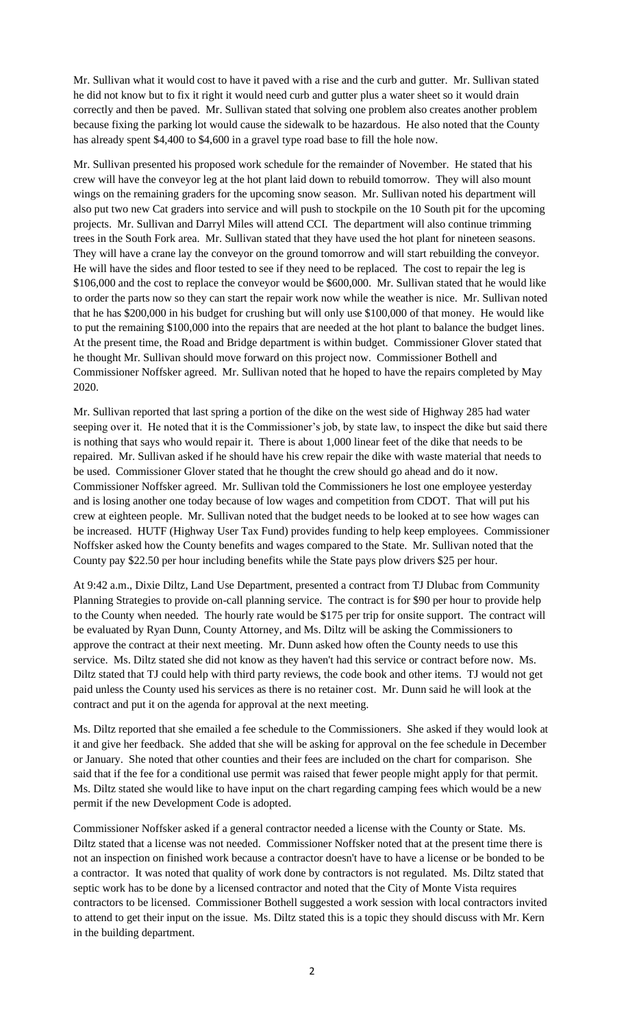Mr. Sullivan what it would cost to have it paved with a rise and the curb and gutter. Mr. Sullivan stated he did not know but to fix it right it would need curb and gutter plus a water sheet so it would drain correctly and then be paved. Mr. Sullivan stated that solving one problem also creates another problem because fixing the parking lot would cause the sidewalk to be hazardous. He also noted that the County has already spent \$4,400 to \$4,600 in a gravel type road base to fill the hole now.

Mr. Sullivan presented his proposed work schedule for the remainder of November. He stated that his crew will have the conveyor leg at the hot plant laid down to rebuild tomorrow. They will also mount wings on the remaining graders for the upcoming snow season. Mr. Sullivan noted his department will also put two new Cat graders into service and will push to stockpile on the 10 South pit for the upcoming projects. Mr. Sullivan and Darryl Miles will attend CCI. The department will also continue trimming trees in the South Fork area. Mr. Sullivan stated that they have used the hot plant for nineteen seasons. They will have a crane lay the conveyor on the ground tomorrow and will start rebuilding the conveyor. He will have the sides and floor tested to see if they need to be replaced. The cost to repair the leg is \$106,000 and the cost to replace the conveyor would be \$600,000. Mr. Sullivan stated that he would like to order the parts now so they can start the repair work now while the weather is nice. Mr. Sullivan noted that he has \$200,000 in his budget for crushing but will only use \$100,000 of that money. He would like to put the remaining \$100,000 into the repairs that are needed at the hot plant to balance the budget lines. At the present time, the Road and Bridge department is within budget. Commissioner Glover stated that he thought Mr. Sullivan should move forward on this project now. Commissioner Bothell and Commissioner Noffsker agreed. Mr. Sullivan noted that he hoped to have the repairs completed by May 2020.

Mr. Sullivan reported that last spring a portion of the dike on the west side of Highway 285 had water seeping over it. He noted that it is the Commissioner's job, by state law, to inspect the dike but said there is nothing that says who would repair it. There is about 1,000 linear feet of the dike that needs to be repaired. Mr. Sullivan asked if he should have his crew repair the dike with waste material that needs to be used. Commissioner Glover stated that he thought the crew should go ahead and do it now. Commissioner Noffsker agreed. Mr. Sullivan told the Commissioners he lost one employee yesterday and is losing another one today because of low wages and competition from CDOT. That will put his crew at eighteen people. Mr. Sullivan noted that the budget needs to be looked at to see how wages can be increased. HUTF (Highway User Tax Fund) provides funding to help keep employees. Commissioner Noffsker asked how the County benefits and wages compared to the State. Mr. Sullivan noted that the County pay \$22.50 per hour including benefits while the State pays plow drivers \$25 per hour.

At 9:42 a.m., Dixie Diltz, Land Use Department, presented a contract from TJ Dlubac from Community Planning Strategies to provide on-call planning service. The contract is for \$90 per hour to provide help to the County when needed. The hourly rate would be \$175 per trip for onsite support. The contract will be evaluated by Ryan Dunn, County Attorney, and Ms. Diltz will be asking the Commissioners to approve the contract at their next meeting. Mr. Dunn asked how often the County needs to use this service. Ms. Diltz stated she did not know as they haven't had this service or contract before now. Ms. Diltz stated that TJ could help with third party reviews, the code book and other items. TJ would not get paid unless the County used his services as there is no retainer cost. Mr. Dunn said he will look at the contract and put it on the agenda for approval at the next meeting.

Ms. Diltz reported that she emailed a fee schedule to the Commissioners. She asked if they would look at it and give her feedback. She added that she will be asking for approval on the fee schedule in December or January. She noted that other counties and their fees are included on the chart for comparison. She said that if the fee for a conditional use permit was raised that fewer people might apply for that permit. Ms. Diltz stated she would like to have input on the chart regarding camping fees which would be a new permit if the new Development Code is adopted.

Commissioner Noffsker asked if a general contractor needed a license with the County or State. Ms. Diltz stated that a license was not needed. Commissioner Noffsker noted that at the present time there is not an inspection on finished work because a contractor doesn't have to have a license or be bonded to be a contractor. It was noted that quality of work done by contractors is not regulated. Ms. Diltz stated that septic work has to be done by a licensed contractor and noted that the City of Monte Vista requires contractors to be licensed. Commissioner Bothell suggested a work session with local contractors invited to attend to get their input on the issue. Ms. Diltz stated this is a topic they should discuss with Mr. Kern in the building department.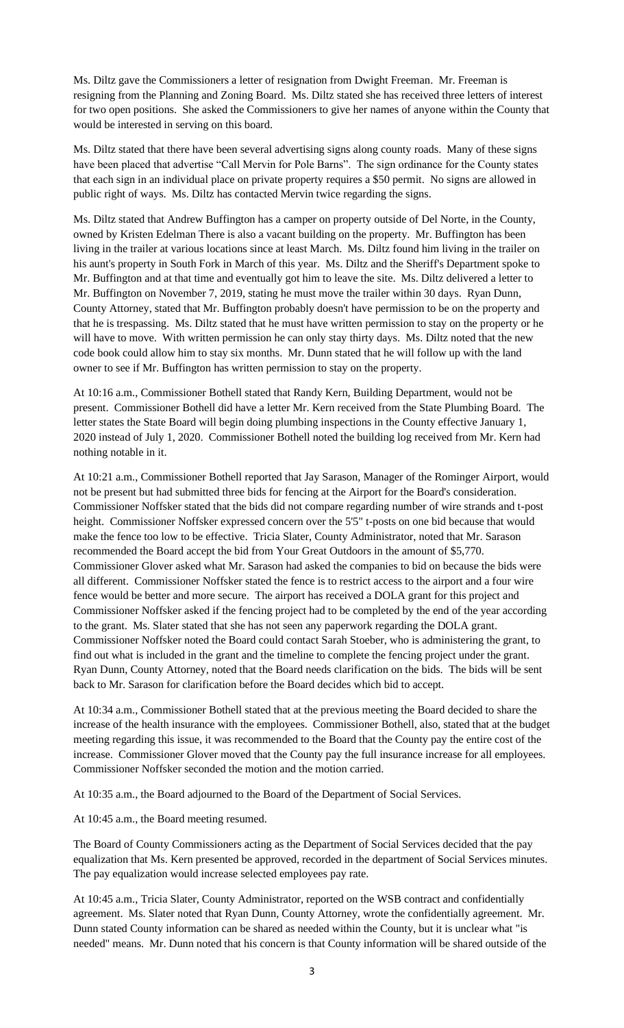Ms. Diltz gave the Commissioners a letter of resignation from Dwight Freeman. Mr. Freeman is resigning from the Planning and Zoning Board. Ms. Diltz stated she has received three letters of interest for two open positions. She asked the Commissioners to give her names of anyone within the County that would be interested in serving on this board.

Ms. Diltz stated that there have been several advertising signs along county roads. Many of these signs have been placed that advertise "Call Mervin for Pole Barns". The sign ordinance for the County states that each sign in an individual place on private property requires a \$50 permit. No signs are allowed in public right of ways. Ms. Diltz has contacted Mervin twice regarding the signs.

Ms. Diltz stated that Andrew Buffington has a camper on property outside of Del Norte, in the County, owned by Kristen Edelman There is also a vacant building on the property. Mr. Buffington has been living in the trailer at various locations since at least March. Ms. Diltz found him living in the trailer on his aunt's property in South Fork in March of this year. Ms. Diltz and the Sheriff's Department spoke to Mr. Buffington and at that time and eventually got him to leave the site. Ms. Diltz delivered a letter to Mr. Buffington on November 7, 2019, stating he must move the trailer within 30 days. Ryan Dunn, County Attorney, stated that Mr. Buffington probably doesn't have permission to be on the property and that he is trespassing. Ms. Diltz stated that he must have written permission to stay on the property or he will have to move. With written permission he can only stay thirty days. Ms. Diltz noted that the new code book could allow him to stay six months. Mr. Dunn stated that he will follow up with the land owner to see if Mr. Buffington has written permission to stay on the property.

At 10:16 a.m., Commissioner Bothell stated that Randy Kern, Building Department, would not be present. Commissioner Bothell did have a letter Mr. Kern received from the State Plumbing Board. The letter states the State Board will begin doing plumbing inspections in the County effective January 1, 2020 instead of July 1, 2020. Commissioner Bothell noted the building log received from Mr. Kern had nothing notable in it.

At 10:21 a.m., Commissioner Bothell reported that Jay Sarason, Manager of the Rominger Airport, would not be present but had submitted three bids for fencing at the Airport for the Board's consideration. Commissioner Noffsker stated that the bids did not compare regarding number of wire strands and t-post height. Commissioner Noffsker expressed concern over the 5'5" t-posts on one bid because that would make the fence too low to be effective. Tricia Slater, County Administrator, noted that Mr. Sarason recommended the Board accept the bid from Your Great Outdoors in the amount of \$5,770. Commissioner Glover asked what Mr. Sarason had asked the companies to bid on because the bids were all different. Commissioner Noffsker stated the fence is to restrict access to the airport and a four wire fence would be better and more secure. The airport has received a DOLA grant for this project and Commissioner Noffsker asked if the fencing project had to be completed by the end of the year according to the grant. Ms. Slater stated that she has not seen any paperwork regarding the DOLA grant. Commissioner Noffsker noted the Board could contact Sarah Stoeber, who is administering the grant, to find out what is included in the grant and the timeline to complete the fencing project under the grant. Ryan Dunn, County Attorney, noted that the Board needs clarification on the bids. The bids will be sent back to Mr. Sarason for clarification before the Board decides which bid to accept.

At 10:34 a.m., Commissioner Bothell stated that at the previous meeting the Board decided to share the increase of the health insurance with the employees. Commissioner Bothell, also, stated that at the budget meeting regarding this issue, it was recommended to the Board that the County pay the entire cost of the increase. Commissioner Glover moved that the County pay the full insurance increase for all employees. Commissioner Noffsker seconded the motion and the motion carried.

At 10:35 a.m., the Board adjourned to the Board of the Department of Social Services.

At 10:45 a.m., the Board meeting resumed.

The Board of County Commissioners acting as the Department of Social Services decided that the pay equalization that Ms. Kern presented be approved, recorded in the department of Social Services minutes. The pay equalization would increase selected employees pay rate.

At 10:45 a.m., Tricia Slater, County Administrator, reported on the WSB contract and confidentially agreement. Ms. Slater noted that Ryan Dunn, County Attorney, wrote the confidentially agreement. Mr. Dunn stated County information can be shared as needed within the County, but it is unclear what "is needed" means. Mr. Dunn noted that his concern is that County information will be shared outside of the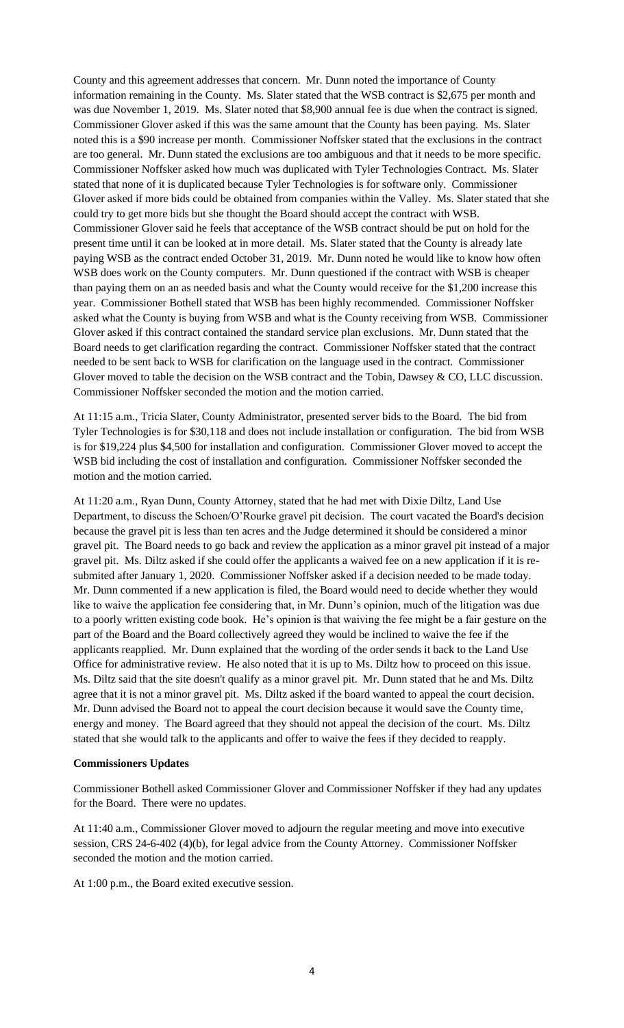County and this agreement addresses that concern. Mr. Dunn noted the importance of County information remaining in the County. Ms. Slater stated that the WSB contract is \$2,675 per month and was due November 1, 2019. Ms. Slater noted that \$8,900 annual fee is due when the contract is signed. Commissioner Glover asked if this was the same amount that the County has been paying. Ms. Slater noted this is a \$90 increase per month. Commissioner Noffsker stated that the exclusions in the contract are too general. Mr. Dunn stated the exclusions are too ambiguous and that it needs to be more specific. Commissioner Noffsker asked how much was duplicated with Tyler Technologies Contract. Ms. Slater stated that none of it is duplicated because Tyler Technologies is for software only. Commissioner Glover asked if more bids could be obtained from companies within the Valley. Ms. Slater stated that she could try to get more bids but she thought the Board should accept the contract with WSB. Commissioner Glover said he feels that acceptance of the WSB contract should be put on hold for the present time until it can be looked at in more detail. Ms. Slater stated that the County is already late paying WSB as the contract ended October 31, 2019. Mr. Dunn noted he would like to know how often WSB does work on the County computers. Mr. Dunn questioned if the contract with WSB is cheaper than paying them on an as needed basis and what the County would receive for the \$1,200 increase this year. Commissioner Bothell stated that WSB has been highly recommended. Commissioner Noffsker asked what the County is buying from WSB and what is the County receiving from WSB. Commissioner Glover asked if this contract contained the standard service plan exclusions. Mr. Dunn stated that the Board needs to get clarification regarding the contract. Commissioner Noffsker stated that the contract needed to be sent back to WSB for clarification on the language used in the contract. Commissioner Glover moved to table the decision on the WSB contract and the Tobin, Dawsey & CO, LLC discussion. Commissioner Noffsker seconded the motion and the motion carried.

At 11:15 a.m., Tricia Slater, County Administrator, presented server bids to the Board. The bid from Tyler Technologies is for \$30,118 and does not include installation or configuration. The bid from WSB is for \$19,224 plus \$4,500 for installation and configuration. Commissioner Glover moved to accept the WSB bid including the cost of installation and configuration. Commissioner Noffsker seconded the motion and the motion carried.

At 11:20 a.m., Ryan Dunn, County Attorney, stated that he had met with Dixie Diltz, Land Use Department, to discuss the Schoen/O'Rourke gravel pit decision. The court vacated the Board's decision because the gravel pit is less than ten acres and the Judge determined it should be considered a minor gravel pit. The Board needs to go back and review the application as a minor gravel pit instead of a major gravel pit. Ms. Diltz asked if she could offer the applicants a waived fee on a new application if it is resubmited after January 1, 2020. Commissioner Noffsker asked if a decision needed to be made today. Mr. Dunn commented if a new application is filed, the Board would need to decide whether they would like to waive the application fee considering that, in Mr. Dunn's opinion, much of the litigation was due to a poorly written existing code book. He's opinion is that waiving the fee might be a fair gesture on the part of the Board and the Board collectively agreed they would be inclined to waive the fee if the applicants reapplied. Mr. Dunn explained that the wording of the order sends it back to the Land Use Office for administrative review. He also noted that it is up to Ms. Diltz how to proceed on this issue. Ms. Diltz said that the site doesn't qualify as a minor gravel pit. Mr. Dunn stated that he and Ms. Diltz agree that it is not a minor gravel pit. Ms. Diltz asked if the board wanted to appeal the court decision. Mr. Dunn advised the Board not to appeal the court decision because it would save the County time, energy and money. The Board agreed that they should not appeal the decision of the court. Ms. Diltz stated that she would talk to the applicants and offer to waive the fees if they decided to reapply.

#### **Commissioners Updates**

Commissioner Bothell asked Commissioner Glover and Commissioner Noffsker if they had any updates for the Board. There were no updates.

At 11:40 a.m., Commissioner Glover moved to adjourn the regular meeting and move into executive session, CRS 24-6-402 (4)(b), for legal advice from the County Attorney. Commissioner Noffsker seconded the motion and the motion carried.

At 1:00 p.m., the Board exited executive session.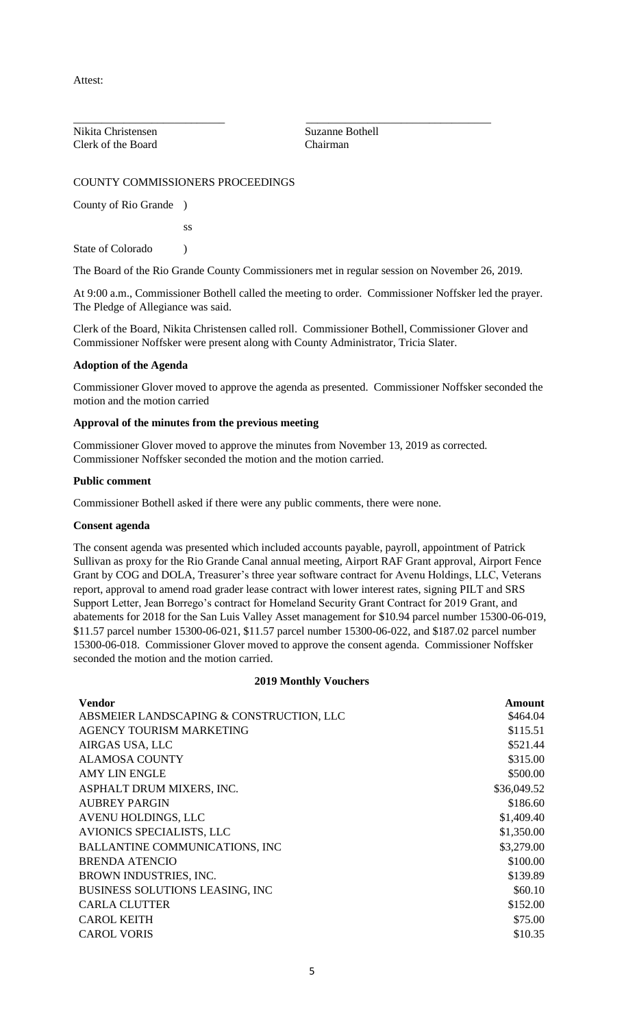Attest:

Nikita Christensen Suzanne Bothell Clerk of the Board Chairman

\_\_\_\_\_\_\_\_\_\_\_\_\_\_\_\_\_\_\_\_\_\_\_\_\_\_\_ \_\_\_\_\_\_\_\_\_\_\_\_\_\_\_\_\_\_\_\_\_\_\_\_\_\_\_\_\_\_\_\_\_

# COUNTY COMMISSIONERS PROCEEDINGS

County of Rio Grande )

ss

State of Colorado (1)

The Board of the Rio Grande County Commissioners met in regular session on November 26, 2019.

At 9:00 a.m., Commissioner Bothell called the meeting to order. Commissioner Noffsker led the prayer. The Pledge of Allegiance was said.

Clerk of the Board, Nikita Christensen called roll. Commissioner Bothell, Commissioner Glover and Commissioner Noffsker were present along with County Administrator, Tricia Slater.

# **Adoption of the Agenda**

Commissioner Glover moved to approve the agenda as presented. Commissioner Noffsker seconded the motion and the motion carried

# **Approval of the minutes from the previous meeting**

Commissioner Glover moved to approve the minutes from November 13, 2019 as corrected. Commissioner Noffsker seconded the motion and the motion carried.

### **Public comment**

Commissioner Bothell asked if there were any public comments, there were none.

### **Consent agenda**

The consent agenda was presented which included accounts payable, payroll, appointment of Patrick Sullivan as proxy for the Rio Grande Canal annual meeting, Airport RAF Grant approval, Airport Fence Grant by COG and DOLA, Treasurer's three year software contract for Avenu Holdings, LLC, Veterans report, approval to amend road grader lease contract with lower interest rates, signing PILT and SRS Support Letter, Jean Borrego's contract for Homeland Security Grant Contract for 2019 Grant, and abatements for 2018 for the San Luis Valley Asset management for \$10.94 parcel number 15300-06-019, \$11.57 parcel number 15300-06-021, \$11.57 parcel number 15300-06-022, and \$187.02 parcel number 15300-06-018. Commissioner Glover moved to approve the consent agenda. Commissioner Noffsker seconded the motion and the motion carried.

### **2019 Monthly Vouchers**

| <b>Vendor</b>                            | <b>Amount</b> |
|------------------------------------------|---------------|
| ABSMEIER LANDSCAPING & CONSTRUCTION, LLC | \$464.04      |
| AGENCY TOURISM MARKETING                 | \$115.51      |
| AIRGAS USA, LLC                          | \$521.44      |
| <b>ALAMOSA COUNTY</b>                    | \$315.00      |
| <b>AMY LIN ENGLE</b>                     | \$500.00      |
| ASPHALT DRUM MIXERS, INC.                | \$36,049.52   |
| <b>AUBREY PARGIN</b>                     | \$186.60      |
| AVENU HOLDINGS, LLC                      | \$1,409.40    |
| AVIONICS SPECIALISTS, LLC                | \$1,350.00    |
| <b>BALLANTINE COMMUNICATIONS, INC</b>    | \$3,279.00    |
| <b>BRENDA ATENCIO</b>                    | \$100.00      |
| BROWN INDUSTRIES, INC.                   | \$139.89      |
| BUSINESS SOLUTIONS LEASING, INC          | \$60.10       |
| <b>CARLA CLUTTER</b>                     | \$152.00      |
| <b>CAROL KEITH</b>                       | \$75.00       |
| <b>CAROL VORIS</b>                       | \$10.35       |
|                                          |               |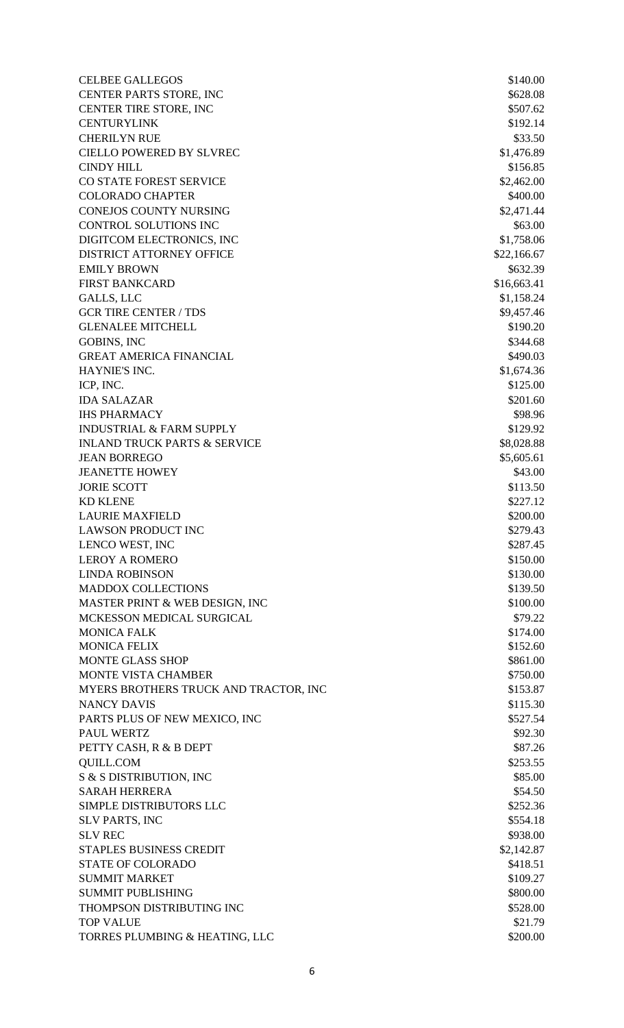CELBEE GALLEGOS \$140.00 CENTER PARTS STORE, INC \$628.08 CENTER TIRE STORE, INC \$507.62 CENTURYLINK \$192.14 CHERILYN RUE \$33.50 CIELLO POWERED BY SLVREC \$1,476.89 CINDY HILL \$156.85 CO STATE FOREST SERVICE \$2,462.00 COLORADO CHAPTER \$400.00 CONEJOS COUNTY NURSING  $$2,471.44$ CONTROL SOLUTIONS INC  $$63.00$ DIGITCOM ELECTRONICS, INC \$1,758.06 DISTRICT ATTORNEY OFFICE \$22,166.67 EMILY BROWN \$632.39 FIRST BANKCARD \$16,663.41 GALLS, LLC  $$1,158.24$ GCR TIRE CENTER / TDS \$9,457.46 GLENALEE MITCHELL \$190.20 GOBINS, INC  $$344.68$ GREAT AMERICA FINANCIAL **\$490.03** HAYNIE'S INC. \$1,674.36 ICP, INC. \$125.00 IDA SALAZAR \$201.60 IHS PHARMACY **\$98.96** INDUSTRIAL & FARM SUPPLY \$129.92 INLAND TRUCK PARTS & SERVICE \$8,028.88 JEAN BORREGO 55,605.61 **JEANETTE HOWEY** \$43.00 JORIE SCOTT S113.50  $K$ D KLENE  $$227.12$ LAURIE MAXFIELD \$200.00 LAWSON PRODUCT INC \$279.43 LENCO WEST, INC \$287.45 LEROY A ROMERO 6150.00 LINDA ROBINSON \$130.00 MADDOX COLLECTIONS \$139.50 MASTER PRINT & WEB DESIGN, INC \$100.00 MCKESSON MEDICAL SURGICAL  $$79.22$ MONICA FALK \$174.00 MONICA FELIX \$152.60 MONTE GLASS SHOP \$861.00 MONTE VISTA CHAMBER \$750.00 MYERS BROTHERS TRUCK AND TRACTOR, INC \$153.87 NANCY DAVIS \$115.30 PARTS PLUS OF NEW MEXICO, INC \$527.54 PAUL WERTZ  $$92.30$ PETTY CASH, R & B DEPT \$87.26 QUILL.COM \$253.55  $S & S$  S DISTRIBUTION, INC  $$85.00$ SARAH HERRERA  $$54.50$ SIMPLE DISTRIBUTORS LLC \$252.36 SLV PARTS, INC \$554.18 SLV REC \$938.00 STAPLES BUSINESS CREDIT S2,142.87 STATE OF COLORADO 5418.51 SUMMIT MARKET SERVICES AND SUMMIT MARKET SUMMIT PUBLISHING \$800.00 THOMPSON DISTRIBUTING INC \$528.00 TOP VALUE \$21.79 TORRES PLUMBING & HEATING, LLC \$200.00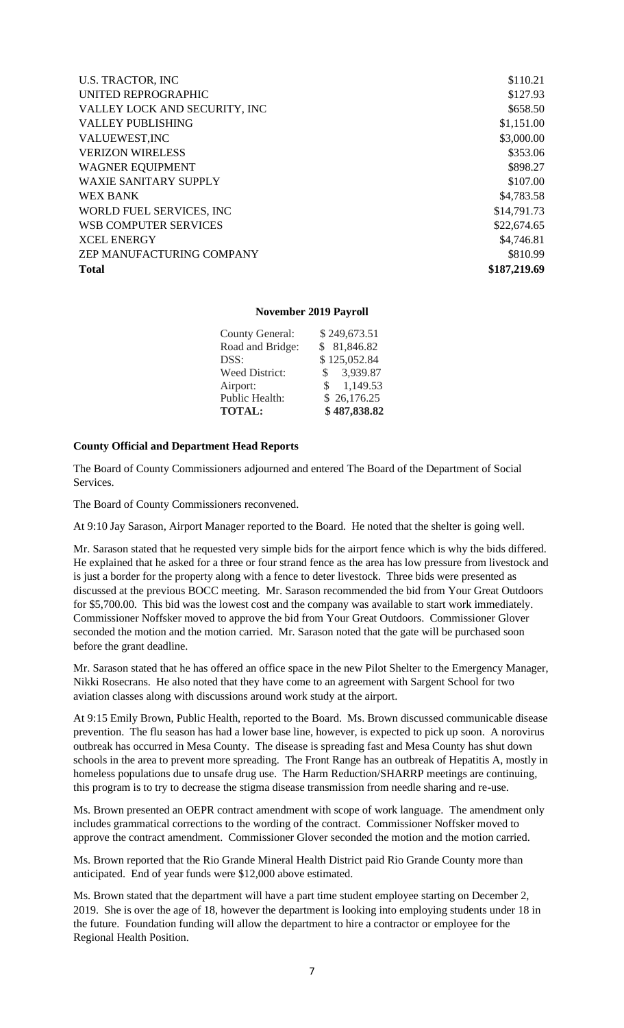| <b>U.S. TRACTOR, INC</b>      | \$110.21     |
|-------------------------------|--------------|
| UNITED REPROGRAPHIC           | \$127.93     |
| VALLEY LOCK AND SECURITY, INC | \$658.50     |
| <b>VALLEY PUBLISHING</b>      | \$1,151.00   |
| VALUEWEST, INC                | \$3,000.00   |
| <b>VERIZON WIRELESS</b>       | \$353.06     |
| <b>WAGNER EQUIPMENT</b>       | \$898.27     |
| <b>WAXIE SANITARY SUPPLY</b>  | \$107.00     |
| <b>WEX BANK</b>               | \$4,783.58   |
| WORLD FUEL SERVICES, INC      | \$14,791.73  |
| <b>WSB COMPUTER SERVICES</b>  | \$22,674.65  |
| <b>XCEL ENERGY</b>            | \$4,746.81   |
| ZEP MANUFACTURING COMPANY     | \$810.99     |
| <b>Total</b>                  | \$187,219.69 |

### **November 2019 Payroll**

| Road and Bridge:      | \$81,846.82  |
|-----------------------|--------------|
| DSS:                  | \$125,052.84 |
| <b>Weed District:</b> | \$3,939.87   |
| Airport:              | \$1,149.53   |
| Public Health:        | \$26,176.25  |
| <b>TOTAL:</b>         | \$487,838.82 |
|                       |              |

### **County Official and Department Head Reports**

The Board of County Commissioners adjourned and entered The Board of the Department of Social Services.

The Board of County Commissioners reconvened.

At 9:10 Jay Sarason, Airport Manager reported to the Board. He noted that the shelter is going well.

Mr. Sarason stated that he requested very simple bids for the airport fence which is why the bids differed. He explained that he asked for a three or four strand fence as the area has low pressure from livestock and is just a border for the property along with a fence to deter livestock. Three bids were presented as discussed at the previous BOCC meeting. Mr. Sarason recommended the bid from Your Great Outdoors for \$5,700.00. This bid was the lowest cost and the company was available to start work immediately. Commissioner Noffsker moved to approve the bid from Your Great Outdoors. Commissioner Glover seconded the motion and the motion carried. Mr. Sarason noted that the gate will be purchased soon before the grant deadline.

Mr. Sarason stated that he has offered an office space in the new Pilot Shelter to the Emergency Manager, Nikki Rosecrans. He also noted that they have come to an agreement with Sargent School for two aviation classes along with discussions around work study at the airport.

At 9:15 Emily Brown, Public Health, reported to the Board. Ms. Brown discussed communicable disease prevention. The flu season has had a lower base line, however, is expected to pick up soon. A norovirus outbreak has occurred in Mesa County. The disease is spreading fast and Mesa County has shut down schools in the area to prevent more spreading. The Front Range has an outbreak of Hepatitis A, mostly in homeless populations due to unsafe drug use. The Harm Reduction/SHARRP meetings are continuing, this program is to try to decrease the stigma disease transmission from needle sharing and re-use.

Ms. Brown presented an OEPR contract amendment with scope of work language. The amendment only includes grammatical corrections to the wording of the contract. Commissioner Noffsker moved to approve the contract amendment. Commissioner Glover seconded the motion and the motion carried.

Ms. Brown reported that the Rio Grande Mineral Health District paid Rio Grande County more than anticipated. End of year funds were \$12,000 above estimated.

Ms. Brown stated that the department will have a part time student employee starting on December 2, 2019. She is over the age of 18, however the department is looking into employing students under 18 in the future. Foundation funding will allow the department to hire a contractor or employee for the Regional Health Position.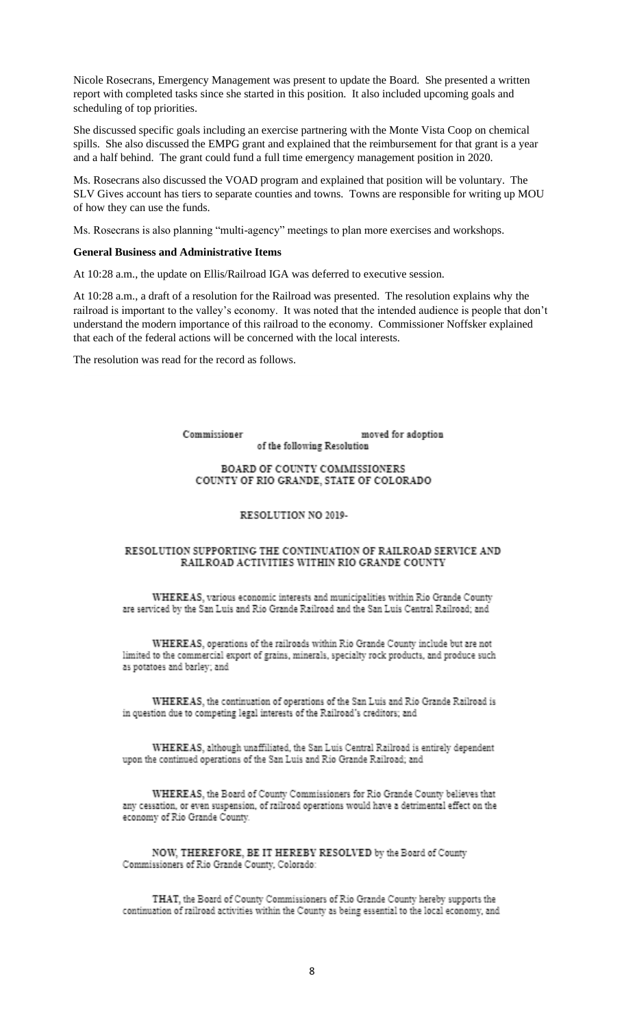Nicole Rosecrans, Emergency Management was present to update the Board. She presented a written report with completed tasks since she started in this position. It also included upcoming goals and scheduling of top priorities.

She discussed specific goals including an exercise partnering with the Monte Vista Coop on chemical spills. She also discussed the EMPG grant and explained that the reimbursement for that grant is a year and a half behind. The grant could fund a full time emergency management position in 2020.

Ms. Rosecrans also discussed the VOAD program and explained that position will be voluntary. The SLV Gives account has tiers to separate counties and towns. Towns are responsible for writing up MOU of how they can use the funds.

Ms. Rosecrans is also planning "multi-agency" meetings to plan more exercises and workshops.

#### **General Business and Administrative Items**

At 10:28 a.m., the update on Ellis/Railroad IGA was deferred to executive session.

At 10:28 a.m., a draft of a resolution for the Railroad was presented. The resolution explains why the railroad is important to the valley's economy. It was noted that the intended audience is people that don't understand the modern importance of this railroad to the economy. Commissioner Noffsker explained that each of the federal actions will be concerned with the local interests.

The resolution was read for the record as follows.

Commissioner moved for adoption of the following Resolution

#### BOARD OF COUNTY COMMISSIONERS COUNTY OF RIO GRANDE, STATE OF COLORADO

#### RESOLUTION NO 2019-

#### RESOLUTION SUPPORTING THE CONTINUATION OF RAILROAD SERVICE AND RAILROAD ACTIVITIES WITHIN RIO GRANDE COUNTY

WHEREAS, various economic interests and municipalities within Rio Grande County are serviced by the San Luis and Rio Grande Railroad and the San Luis Central Railroad; and

WHEREAS, operations of the railroads within Rio Grande County include but are not limited to the commercial export of grains, minerals, specialty rock products, and produce such as potatoes and barley; and

WHEREAS, the continuation of operations of the San Luis and Rio Grande Railroad is in question due to competing legal interests of the Railroad's creditors; and

WHEREAS, although unaffiliated, the San Luis Central Railroad is entirely dependent upon the continued operations of the San Luis and Rio Grande Railroad; and

WHEREAS, the Board of County Commissioners for Rio Grande County believes that any cessation, or even suspension, of railroad operations would have a detrimental effect on the economy of Rio Grande County.

NOW, THEREFORE, BE IT HEREBY RESOLVED by the Board of County Commissioners of Rio Grande County, Colorado:

THAT, the Board of County Commissioners of Rio Grande County hereby supports the continuation of railroad activities within the County as being essential to the local economy, and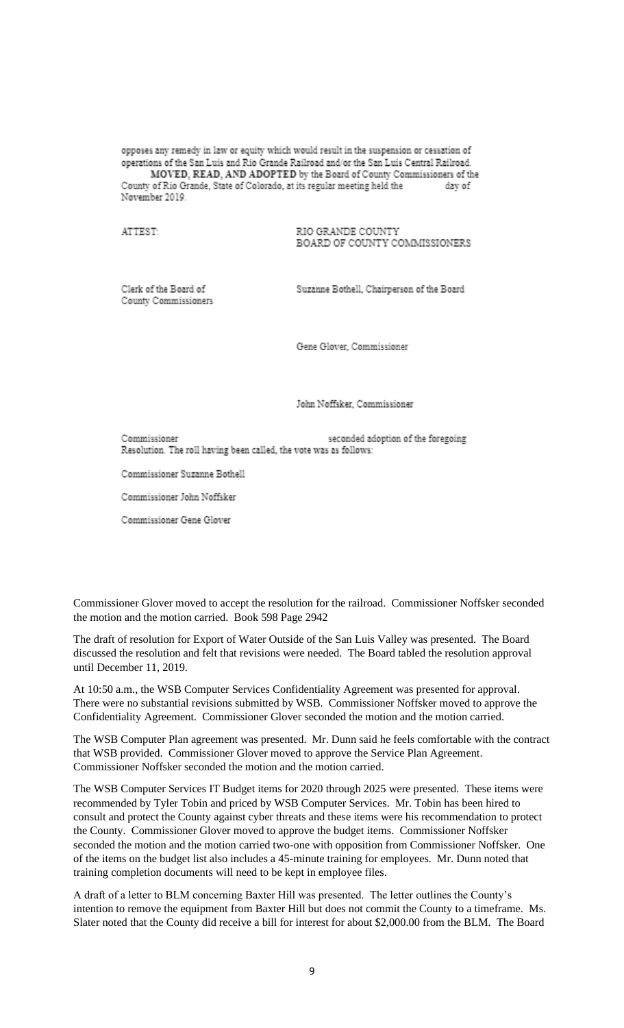opposes any remedy in law or equity which would result in the suspension or cessation of operations of the San Luis and Rio Grande Railroad and/or the San Luis Central Railroad. MOVED, READ, AND ADOPTED by the Board of County Commissioners of the County of Rio Grande, State of Colorado, at its regular meeting held the day of November 2019.

#### ATTEST-

#### RIO GRANDE COUNTY BOARD OF COUNTY COMMISSIONERS

Clerk of the Board of County Commissioners Suzanne Bothell, Chairperson of the Board

Gene Glover, Commissioner

John Noffsker, Commissioner

seconded adoption of the foregoing Commissioner Resolution. The roll having been called, the vote was as follows:

Commissioner Suzanne Bothell

Commissioner John Noffsker

Commissioner Gene Glover

Commissioner Glover moved to accept the resolution for the railroad. Commissioner Noffsker seconded the motion and the motion carried. Book 598 Page 2942

The draft of resolution for Export of Water Outside of the San Luis Valley was presented. The Board discussed the resolution and felt that revisions were needed. The Board tabled the resolution approval until December 11, 2019.

At 10:50 a.m., the WSB Computer Services Confidentiality Agreement was presented for approval. There were no substantial revisions submitted by WSB. Commissioner Noffsker moved to approve the Confidentiality Agreement. Commissioner Glover seconded the motion and the motion carried.

The WSB Computer Plan agreement was presented. Mr. Dunn said he feels comfortable with the contract that WSB provided. Commissioner Glover moved to approve the Service Plan Agreement. Commissioner Noffsker seconded the motion and the motion carried.

The WSB Computer Services IT Budget items for 2020 through 2025 were presented. These items were recommended by Tyler Tobin and priced by WSB Computer Services. Mr. Tobin has been hired to consult and protect the County against cyber threats and these items were his recommendation to protect the County. Commissioner Glover moved to approve the budget items. Commissioner Noffsker seconded the motion and the motion carried two-one with opposition from Commissioner Noffsker. One of the items on the budget list also includes a 45-minute training for employees. Mr. Dunn noted that training completion documents will need to be kept in employee files.

A draft of a letter to BLM concerning Baxter Hill was presented. The letter outlines the County's intention to remove the equipment from Baxter Hill but does not commit the County to a timeframe. Ms. Slater noted that the County did receive a bill for interest for about \$2,000.00 from the BLM. The Board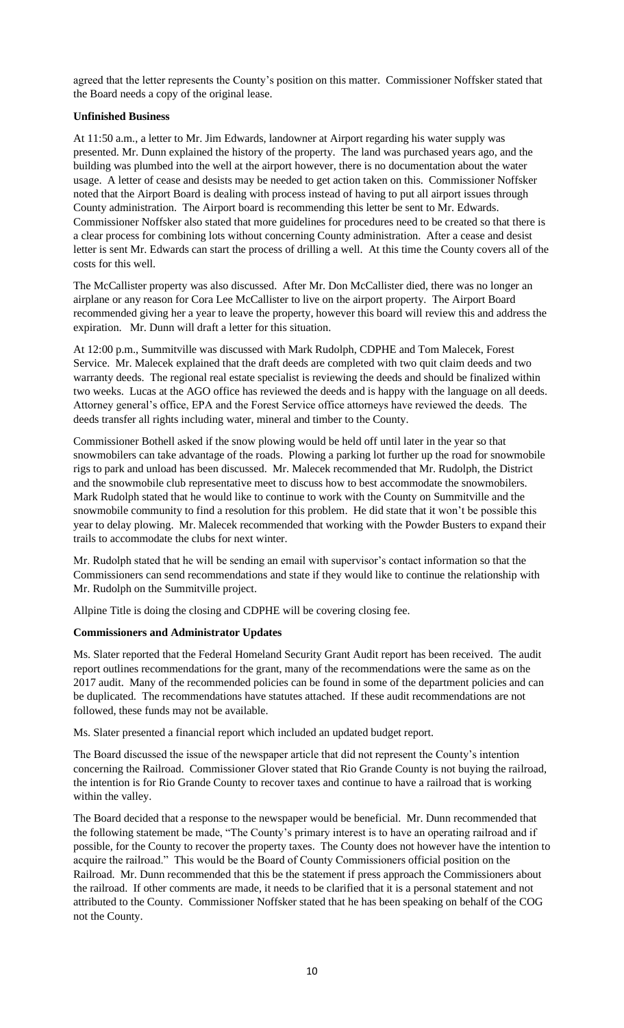agreed that the letter represents the County's position on this matter. Commissioner Noffsker stated that the Board needs a copy of the original lease.

# **Unfinished Business**

At 11:50 a.m., a letter to Mr. Jim Edwards, landowner at Airport regarding his water supply was presented. Mr. Dunn explained the history of the property. The land was purchased years ago, and the building was plumbed into the well at the airport however, there is no documentation about the water usage. A letter of cease and desists may be needed to get action taken on this. Commissioner Noffsker noted that the Airport Board is dealing with process instead of having to put all airport issues through County administration. The Airport board is recommending this letter be sent to Mr. Edwards. Commissioner Noffsker also stated that more guidelines for procedures need to be created so that there is a clear process for combining lots without concerning County administration. After a cease and desist letter is sent Mr. Edwards can start the process of drilling a well. At this time the County covers all of the costs for this well.

The McCallister property was also discussed. After Mr. Don McCallister died, there was no longer an airplane or any reason for Cora Lee McCallister to live on the airport property. The Airport Board recommended giving her a year to leave the property, however this board will review this and address the expiration. Mr. Dunn will draft a letter for this situation.

At 12:00 p.m., Summitville was discussed with Mark Rudolph, CDPHE and Tom Malecek, Forest Service. Mr. Malecek explained that the draft deeds are completed with two quit claim deeds and two warranty deeds. The regional real estate specialist is reviewing the deeds and should be finalized within two weeks. Lucas at the AGO office has reviewed the deeds and is happy with the language on all deeds. Attorney general's office, EPA and the Forest Service office attorneys have reviewed the deeds. The deeds transfer all rights including water, mineral and timber to the County.

Commissioner Bothell asked if the snow plowing would be held off until later in the year so that snowmobilers can take advantage of the roads. Plowing a parking lot further up the road for snowmobile rigs to park and unload has been discussed. Mr. Malecek recommended that Mr. Rudolph, the District and the snowmobile club representative meet to discuss how to best accommodate the snowmobilers. Mark Rudolph stated that he would like to continue to work with the County on Summitville and the snowmobile community to find a resolution for this problem. He did state that it won't be possible this year to delay plowing. Mr. Malecek recommended that working with the Powder Busters to expand their trails to accommodate the clubs for next winter.

Mr. Rudolph stated that he will be sending an email with supervisor's contact information so that the Commissioners can send recommendations and state if they would like to continue the relationship with Mr. Rudolph on the Summitville project.

Allpine Title is doing the closing and CDPHE will be covering closing fee.

# **Commissioners and Administrator Updates**

Ms. Slater reported that the Federal Homeland Security Grant Audit report has been received. The audit report outlines recommendations for the grant, many of the recommendations were the same as on the 2017 audit. Many of the recommended policies can be found in some of the department policies and can be duplicated. The recommendations have statutes attached. If these audit recommendations are not followed, these funds may not be available.

Ms. Slater presented a financial report which included an updated budget report.

The Board discussed the issue of the newspaper article that did not represent the County's intention concerning the Railroad. Commissioner Glover stated that Rio Grande County is not buying the railroad, the intention is for Rio Grande County to recover taxes and continue to have a railroad that is working within the valley.

The Board decided that a response to the newspaper would be beneficial. Mr. Dunn recommended that the following statement be made, "The County's primary interest is to have an operating railroad and if possible, for the County to recover the property taxes. The County does not however have the intention to acquire the railroad." This would be the Board of County Commissioners official position on the Railroad. Mr. Dunn recommended that this be the statement if press approach the Commissioners about the railroad. If other comments are made, it needs to be clarified that it is a personal statement and not attributed to the County. Commissioner Noffsker stated that he has been speaking on behalf of the COG not the County.